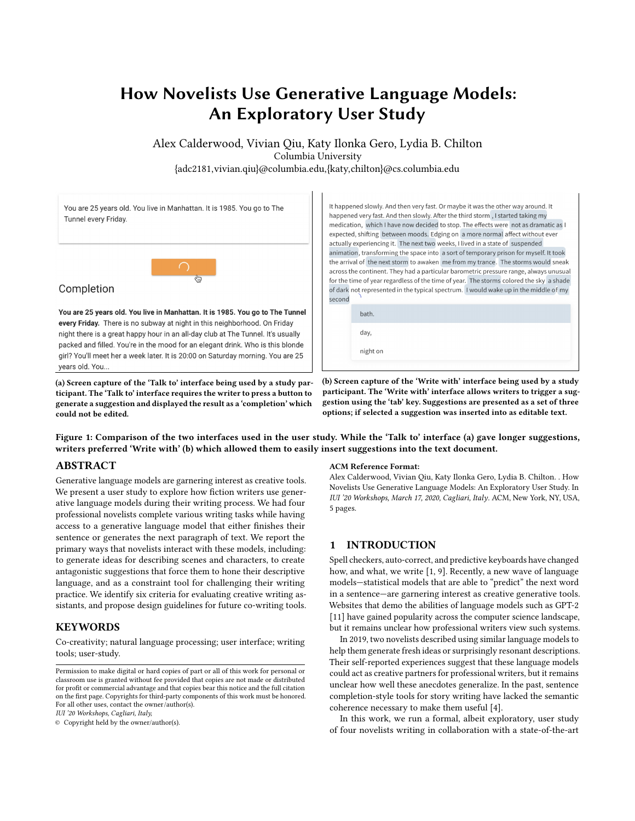# How Novelists Use Generative Language Models: An Exploratory User Study

Alex Calderwood, Vivian Qiu, Katy Ilonka Gero, Lydia B. Chilton Columbia University

{adc2181,vivian.qiu}@columbia.edu,{katy,chilton}@cs.columbia.edu

<span id="page-0-0"></span>

(a) Screen capture of the 'Talk to' interface being used by a study participant. The 'Talk to' interface requires the writer to press a button to generate a suggestion and displayed the result as a 'completion' which could not be edited.

It happened slowly. And then very fast. Or maybe it was the other way around. It happened very fast. And then slowly. After the third storm, I started taking my medication, which I have now decided to stop. The effects were not as dramatic as I expected, shifting between moods. Edging on a more normal affect without ever actually experiencing it. The next two weeks, I lived in a state of suspended animation, transforming the space into a sort of temporary prison for myself. It took the arrival of the next storm to awaken me from my trance. The storms would sneak across the continent. They had a particular barometric pressure range, always unusual for the time of year regardless of the time of year. The storms colored the sky a shade of dark not represented in the typical spectrum. I would wake up in the middle of my

night on

(b) Screen capture of the 'Write with' interface being used by a study participant. The 'Write with' interface allows writers to trigger a suggestion using the 'tab' key. Suggestions are presented as a set of three options; if selected a suggestion was inserted into as editable text.

Figure 1: Comparison of the two interfaces used in the user study. While the 'Talk to' interface (a) gave longer suggestions, writers preferred 'Write with' (b) which allowed them to easily insert suggestions into the text document.

## ABSTRACT

years old. You..

Generative language models are garnering interest as creative tools. We present a user study to explore how fiction writers use generative language models during their writing process. We had four professional novelists complete various writing tasks while having access to a generative language model that either finishes their sentence or generates the next paragraph of text. We report the primary ways that novelists interact with these models, including: to generate ideas for describing scenes and characters, to create antagonistic suggestions that force them to hone their descriptive language, and as a constraint tool for challenging their writing practice. We identify six criteria for evaluating creative writing assistants, and propose design guidelines for future co-writing tools.

## **KEYWORDS**

Co-creativity; natural language processing; user interface; writing tools; user-study.

IUI '20 Workshops, Cagliari, Italy,

© Copyright held by the owner/author(s).

#### ACM Reference Format:

Alex Calderwood, Vivian Qiu, Katy Ilonka Gero, Lydia B. Chilton. . How Novelists Use Generative Language Models: An Exploratory User Study. In IUI '20 Workshops, March 17, 2020, Cagliari, Italy. ACM, New York, NY, USA, [5](#page-4-0) pages.

## 1 INTRODUCTION

Spell checkers, auto-correct, and predictive keyboards have changed how, and what, we write [\[1,](#page-4-1) [9\]](#page-4-2). Recently, a new wave of language models—statistical models that are able to "predict" the next word in a sentence—are garnering interest as creative generative tools. Websites that demo the abilities of language models such as GPT-2 [\[11\]](#page-4-3) have gained popularity across the computer science landscape, but it remains unclear how professional writers view such systems.

In 2019, two novelists described using similar language models to help them generate fresh ideas or surprisingly resonant descriptions. Their self-reported experiences suggest that these language models could act as creative partners for professional writers, but it remains unclear how well these anecdotes generalize. In the past, sentence completion-style tools for story writing have lacked the semantic coherence necessary to make them useful [\[4\]](#page-4-4).

In this work, we run a formal, albeit exploratory, user study of four novelists writing in collaboration with a state-of-the-art

Permission to make digital or hard copies of part or all of this work for personal or classroom use is granted without fee provided that copies are not made or distributed for profit or commercial advantage and that copies bear this notice and the full citation on the first page. Copyrights for third-party components of this work must be honored. For all other uses, contact the owner/author(s).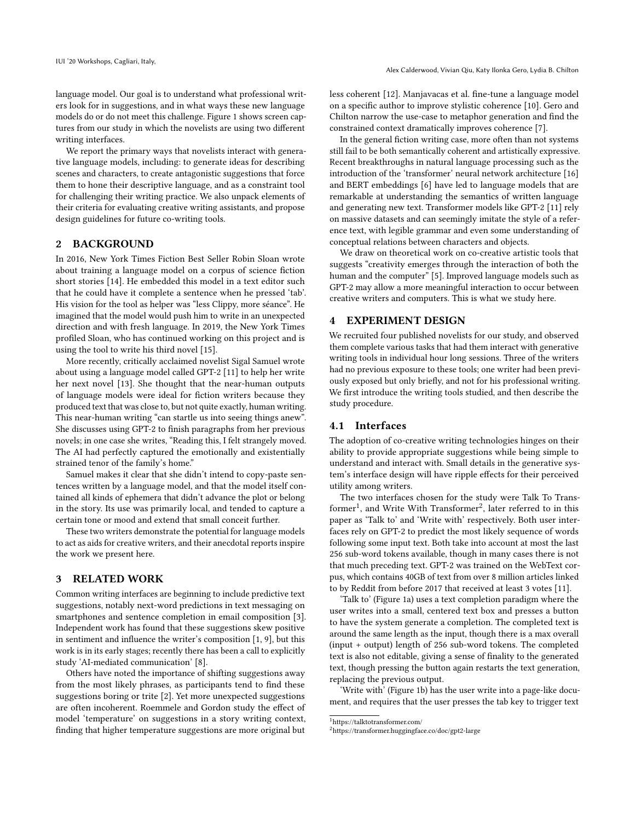language model. Our goal is to understand what professional writers look for in suggestions, and in what ways these new language models do or do not meet this challenge. Figure [1](#page-0-0) shows screen captures from our study in which the novelists are using two different writing interfaces.

We report the primary ways that novelists interact with generative language models, including: to generate ideas for describing scenes and characters, to create antagonistic suggestions that force them to hone their descriptive language, and as a constraint tool for challenging their writing practice. We also unpack elements of their criteria for evaluating creative writing assistants, and propose design guidelines for future co-writing tools.

## 2 BACKGROUND

In 2016, New York Times Fiction Best Seller Robin Sloan wrote about training a language model on a corpus of science fiction short stories [\[14\]](#page-4-5). He embedded this model in a text editor such that he could have it complete a sentence when he pressed 'tab'. His vision for the tool as helper was "less Clippy, more séance". He imagined that the model would push him to write in an unexpected direction and with fresh language. In 2019, the New York Times profiled Sloan, who has continued working on this project and is using the tool to write his third novel [\[15\]](#page-4-6).

More recently, critically acclaimed novelist Sigal Samuel wrote about using a language model called GPT-2 [\[11\]](#page-4-3) to help her write her next novel [\[13\]](#page-4-7). She thought that the near-human outputs of language models were ideal for fiction writers because they produced text that was close to, but not quite exactly, human writing. This near-human writing "can startle us into seeing things anew". She discusses using GPT-2 to finish paragraphs from her previous novels; in one case she writes, "Reading this, I felt strangely moved. The AI had perfectly captured the emotionally and existentially strained tenor of the family's home."

Samuel makes it clear that she didn't intend to copy-paste sentences written by a language model, and that the model itself contained all kinds of ephemera that didn't advance the plot or belong in the story. Its use was primarily local, and tended to capture a certain tone or mood and extend that small conceit further.

These two writers demonstrate the potential for language models to act as aids for creative writers, and their anecdotal reports inspire the work we present here.

### 3 RELATED WORK

Common writing interfaces are beginning to include predictive text suggestions, notably next-word predictions in text messaging on smartphones and sentence completion in email composition [\[3\]](#page-4-8). Independent work has found that these suggestions skew positive in sentiment and influence the writer's composition [\[1,](#page-4-1) [9\]](#page-4-2), but this work is in its early stages; recently there has been a call to explicitly study 'AI-mediated communication' [\[8\]](#page-4-9).

Others have noted the importance of shifting suggestions away from the most likely phrases, as participants tend to find these suggestions boring or trite [\[2\]](#page-4-10). Yet more unexpected suggestions are often incoherent. Roemmele and Gordon study the effect of model 'temperature' on suggestions in a story writing context, finding that higher temperature suggestions are more original but

less coherent [\[12\]](#page-4-11). Manjavacas et al. fine-tune a language model on a specific author to improve stylistic coherence [\[10\]](#page-4-12). Gero and Chilton narrow the use-case to metaphor generation and find the constrained context dramatically improves coherence [\[7\]](#page-4-13).

In the general fiction writing case, more often than not systems still fail to be both semantically coherent and artistically expressive. Recent breakthroughs in natural language processing such as the introduction of the 'transformer' neural network architecture [\[16\]](#page-4-14) and BERT embeddings [\[6\]](#page-4-15) have led to language models that are remarkable at understanding the semantics of written language and generating new text. Transformer models like GPT-2 [\[11\]](#page-4-3) rely on massive datasets and can seemingly imitate the style of a reference text, with legible grammar and even some understanding of conceptual relations between characters and objects.

We draw on theoretical work on co-creative artistic tools that suggests "creativity emerges through the interaction of both the human and the computer" [\[5\]](#page-4-16). Improved language models such as GPT-2 may allow a more meaningful interaction to occur between creative writers and computers. This is what we study here.

## 4 EXPERIMENT DESIGN

We recruited four published novelists for our study, and observed them complete various tasks that had them interact with generative writing tools in individual hour long sessions. Three of the writers had no previous exposure to these tools; one writer had been previously exposed but only briefly, and not for his professional writing. We first introduce the writing tools studied, and then describe the study procedure.

## <span id="page-1-2"></span>4.1 Interfaces

The adoption of co-creative writing technologies hinges on their ability to provide appropriate suggestions while being simple to understand and interact with. Small details in the generative system's interface design will have ripple effects for their perceived utility among writers.

The two interfaces chosen for the study were Talk To Trans-former<sup>[1](#page-1-0)</sup>, and Write With Transformer<sup>[2](#page-1-1)</sup>, later referred to in this paper as 'Talk to' and 'Write with' respectively. Both user interfaces rely on GPT-2 to predict the most likely sequence of words following some input text. Both take into account at most the last 256 sub-word tokens available, though in many cases there is not that much preceding text. GPT-2 was trained on the WebText corpus, which contains 40GB of text from over 8 million articles linked to by Reddit from before 2017 that received at least 3 votes [\[11\]](#page-4-3).

'Talk to' (Figure [1a\)](#page-0-0) uses a text completion paradigm where the user writes into a small, centered text box and presses a button to have the system generate a completion. The completed text is around the same length as the input, though there is a max overall (input + output) length of 256 sub-word tokens. The completed text is also not editable, giving a sense of finality to the generated text, though pressing the button again restarts the text generation, replacing the previous output.

'Write with' (Figure [1b\)](#page-0-0) has the user write into a page-like document, and requires that the user presses the tab key to trigger text

<span id="page-1-0"></span><sup>1</sup>https://talktotransformer.com/

<span id="page-1-1"></span><sup>2</sup>https://transformer.huggingface.co/doc/gpt2-large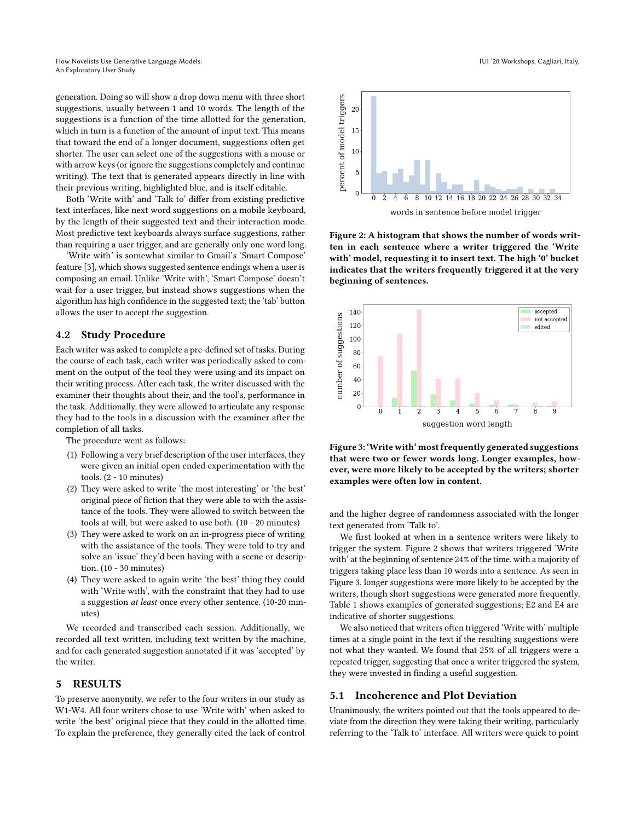generation. Doing so will show a drop down menu with three short suggestions, usually between 1 and 10 words. The length of the suggestions is a function of the time allotted for the generation, which in turn is a function of the amount of input text. This means that toward the end of a longer document, suggestions often get shorter. The user can select one of the suggestions with a mouse or with arrow keys (or ignore the suggestions completely and continue writing). The text that is generated appears directly in line with their previous writing, highlighted blue, and is itself editable.

Both 'Write with' and 'Talk to' differ from existing predictive text interfaces, like next word suggestions on a mobile keyboard, by the length of their suggested text and their interaction mode. Most predictive text keyboards always surface suggestions, rather than requiring a user trigger, and are generally only one word long.

'Write with' is somewhat similar to Gmail's 'Smart Compose' feature [\[3\]](#page-4-8), which shows suggested sentence endings when a user is composing an email. Unlike 'Write with', 'Smart Compose' doesn't wait for a user trigger, but instead shows suggestions when the algorithm has high confidence in the suggested text; the 'tab' button allows the user to accept the suggestion.

### 4.2 Study Procedure

Each writer was asked to complete a pre-defined set of tasks. During the course of each task, each writer was periodically asked to comment on the output of the tool they were using and its impact on their writing process. After each task, the writer discussed with the examiner their thoughts about their, and the tool's, performance in the task. Additionally, they were allowed to articulate any response they had to the tools in a discussion with the examiner after the completion of all tasks.

The procedure went as follows:

- (1) Following a very brief description of the user interfaces, they were given an initial open ended experimentation with the tools. (2 - 10 minutes)
- (2) They were asked to write 'the most interesting' or 'the best' original piece of fiction that they were able to with the assistance of the tools. They were allowed to switch between the tools at will, but were asked to use both. (10 - 20 minutes)
- (3) They were asked to work on an in-progress piece of writing with the assistance of the tools. They were told to try and solve an 'issue' they'd been having with a scene or description. (10 - 30 minutes)
- (4) They were asked to again write 'the best' thing they could with 'Write with', with the constraint that they had to use a suggestion at least once every other sentence. (10-20 minutes)

We recorded and transcribed each session. Additionally, we recorded all text written, including text written by the machine, and for each generated suggestion annotated if it was 'accepted' by the writer.

## 5 RESULTS

To preserve anonymity, we refer to the four writers in our study as W1-W4. All four writers chose to use 'Write with' when asked to write 'the best' original piece that they could in the allotted time. To explain the preference, they generally cited the lack of control

<span id="page-2-0"></span>

words in sentence before model trigger

Figure 2: A histogram that shows the number of words written in each sentence where a writer triggered the 'Write with' model, requesting it to insert text. The high '0' bucket indicates that the writers frequently triggered it at the very beginning of sentences.

<span id="page-2-1"></span>

Figure 3: 'Write with' most frequently generated suggestions that were two or fewer words long. Longer examples, however, were more likely to be accepted by the writers; shorter examples were often low in content.

and the higher degree of randomness associated with the longer text generated from 'Talk to'.

We first looked at when in a sentence writers were likely to trigger the system. Figure [2](#page-2-0) shows that writers triggered 'Write with' at the beginning of sentence 24% of the time, with a majority of triggers taking place less than 10 words into a sentence. As seen in Figure [3,](#page-2-1) longer suggestions were more likely to be accepted by the writers, though short suggestions were generated more frequently. Table [1](#page-3-0) shows examples of generated suggestions; E2 and E4 are indicative of shorter suggestions.

We also noticed that writers often triggered 'Write with' multiple times at a single point in the text if the resulting suggestions were not what they wanted. We found that 25% of all triggers were a repeated trigger, suggesting that once a writer triggered the system, they were invested in finding a useful suggestion.

## 5.1 Incoherence and Plot Deviation

Unanimously, the writers pointed out that the tools appeared to deviate from the direction they were taking their writing, particularly referring to the 'Talk to' interface. All writers were quick to point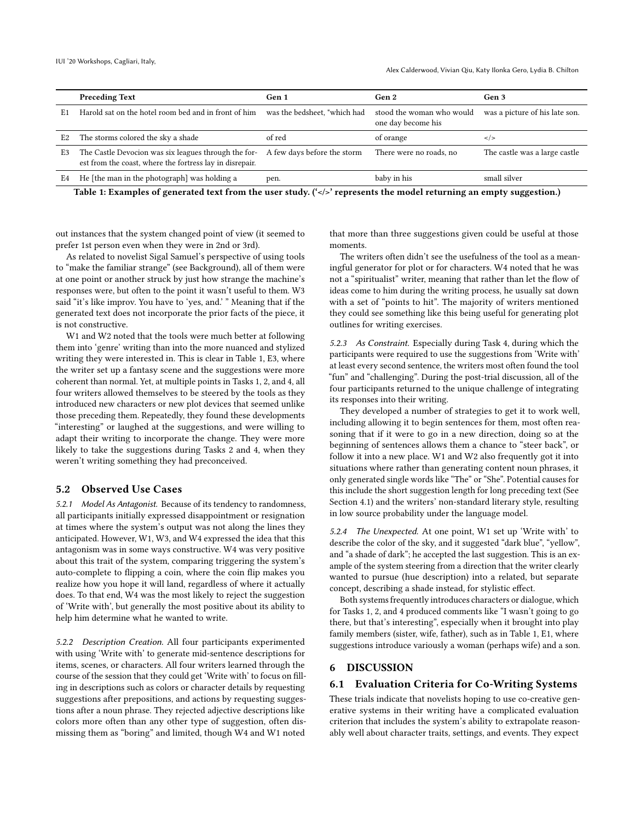<span id="page-3-0"></span>

|                | <b>Preceding Text</b>                                                                                                                        | Gen 1                        | Gen 2                                           | Gen 3                          |
|----------------|----------------------------------------------------------------------------------------------------------------------------------------------|------------------------------|-------------------------------------------------|--------------------------------|
| E1             | Harold sat on the hotel room bed and in front of him                                                                                         | was the bedsheet, "which had | stood the woman who would<br>one day become his | was a picture of his late son. |
| E <sub>2</sub> | The storms colored the sky a shade                                                                                                           | of red                       | of orange                                       | $\lt$ />                       |
| E3             | The Castle Devocion was six leagues through the for- A few days before the storm<br>est from the coast, where the fortress lay in disrepair. |                              | There were no roads, no                         | The castle was a large castle  |
| E4             | He [the man in the photograph] was holding a                                                                                                 | pen.                         | baby in his                                     | small silver                   |
|                |                                                                                                                                              |                              |                                                 |                                |

Table 1: Examples of generated text from the user study.  $(\langle \langle \rangle \rangle)$  represents the model returning an empty suggestion.)

out instances that the system changed point of view (it seemed to prefer 1st person even when they were in 2nd or 3rd).

As related to novelist Sigal Samuel's perspective of using tools to "make the familiar strange" (see Background), all of them were at one point or another struck by just how strange the machine's responses were, but often to the point it wasn't useful to them. W3 said "it's like improv. You have to 'yes, and.' " Meaning that if the generated text does not incorporate the prior facts of the piece, it is not constructive.

W1 and W2 noted that the tools were much better at following them into 'genre' writing than into the more nuanced and stylized writing they were interested in. This is clear in Table 1, E3, where the writer set up a fantasy scene and the suggestions were more coherent than normal. Yet, at multiple points in Tasks 1, 2, and 4, all four writers allowed themselves to be steered by the tools as they introduced new characters or new plot devices that seemed unlike those preceding them. Repeatedly, they found these developments "interesting" or laughed at the suggestions, and were willing to adapt their writing to incorporate the change. They were more likely to take the suggestions during Tasks 2 and 4, when they weren't writing something they had preconceived.

## 5.2 Observed Use Cases

5.2.1 Model As Antagonist. Because of its tendency to randomness, all participants initially expressed disappointment or resignation at times where the system's output was not along the lines they anticipated. However, W1, W3, and W4 expressed the idea that this antagonism was in some ways constructive. W4 was very positive about this trait of the system, comparing triggering the system's auto-complete to flipping a coin, where the coin flip makes you realize how you hope it will land, regardless of where it actually does. To that end, W4 was the most likely to reject the suggestion of 'Write with', but generally the most positive about its ability to help him determine what he wanted to write.

5.2.2 Description Creation. All four participants experimented with using 'Write with' to generate mid-sentence descriptions for items, scenes, or characters. All four writers learned through the course of the session that they could get 'Write with' to focus on filling in descriptions such as colors or character details by requesting suggestions after prepositions, and actions by requesting suggestions after a noun phrase. They rejected adjective descriptions like colors more often than any other type of suggestion, often dismissing them as "boring" and limited, though W4 and W1 noted

that more than three suggestions given could be useful at those moments.

The writers often didn't see the usefulness of the tool as a meaningful generator for plot or for characters. W4 noted that he was not a "spiritualist" writer, meaning that rather than let the flow of ideas come to him during the writing process, he usually sat down with a set of "points to hit". The majority of writers mentioned they could see something like this being useful for generating plot outlines for writing exercises.

5.2.3 As Constraint. Especially during Task 4, during which the participants were required to use the suggestions from 'Write with' at least every second sentence, the writers most often found the tool "fun" and "challenging". During the post-trial discussion, all of the four participants returned to the unique challenge of integrating its responses into their writing.

They developed a number of strategies to get it to work well, including allowing it to begin sentences for them, most often reasoning that if it were to go in a new direction, doing so at the beginning of sentences allows them a chance to "steer back", or follow it into a new place. W1 and W2 also frequently got it into situations where rather than generating content noun phrases, it only generated single words like "The" or "She". Potential causes for this include the short suggestion length for long preceding text (See Section [4.1\)](#page-1-2) and the writers' non-standard literary style, resulting in low source probability under the language model.

5.2.4 The Unexpected. At one point, W1 set up 'Write with' to describe the color of the sky, and it suggested "dark blue", "yellow", and "a shade of dark"; he accepted the last suggestion. This is an example of the system steering from a direction that the writer clearly wanted to pursue (hue description) into a related, but separate concept, describing a shade instead, for stylistic effect.

Both systems frequently introduces characters or dialogue, which for Tasks 1, 2, and 4 produced comments like "I wasn't going to go there, but that's interesting", especially when it brought into play family members (sister, wife, father), such as in Table [1,](#page-3-0) E1, where suggestions introduce variously a woman (perhaps wife) and a son.

### 6 DISCUSSION

#### 6.1 Evaluation Criteria for Co-Writing Systems

These trials indicate that novelists hoping to use co-creative generative systems in their writing have a complicated evaluation criterion that includes the system's ability to extrapolate reasonably well about character traits, settings, and events. They expect